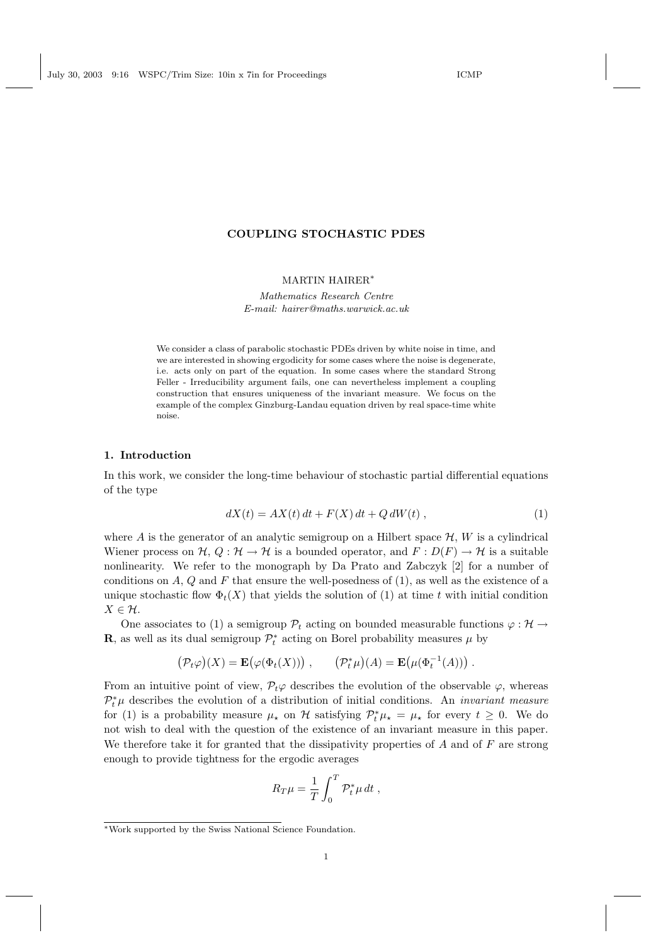# COUPLING STOCHASTIC PDES

# MARTIN HAIRER<sup>∗</sup>

Mathematics Research Centre E-mail: hairer@maths.warwick.ac.uk

We consider a class of parabolic stochastic PDEs driven by white noise in time, and we are interested in showing ergodicity for some cases where the noise is degenerate, i.e. acts only on part of the equation. In some cases where the standard Strong Feller - Irreducibility argument fails, one can nevertheless implement a coupling construction that ensures uniqueness of the invariant measure. We focus on the example of the complex Ginzburg-Landau equation driven by real space-time white noise.

### 1. Introduction

In this work, we consider the long-time behaviour of stochastic partial differential equations of the type

$$
dX(t) = AX(t) dt + F(X) dt + Q dW(t), \qquad (1)
$$

where A is the generator of an analytic semigroup on a Hilbert space  $\mathcal{H}, W$  is a cylindrical Wiener process on  $\mathcal{H}, Q : \mathcal{H} \to \mathcal{H}$  is a bounded operator, and  $F : D(F) \to \mathcal{H}$  is a suitable nonlinearity. We refer to the monograph by Da Prato and Zabczyk [2] for a number of conditions on  $A, Q$  and  $F$  that ensure the well-posedness of  $(1)$ , as well as the existence of a unique stochastic flow  $\Phi_t(X)$  that yields the solution of (1) at time t with initial condition  $X \in \mathcal{H}$ .

One associates to (1) a semigroup  $\mathcal{P}_t$  acting on bounded measurable functions  $\varphi : \mathcal{H} \to$ **R**, as well as its dual semigroup  $\mathcal{P}_t^*$  acting on Borel probability measures  $\mu$  by

$$
(\mathcal{P}_t\varphi)(X) = \mathbf{E}(\varphi(\Phi_t(X))) , \qquad (\mathcal{P}_t^*\mu)(A) = \mathbf{E}(\mu(\Phi_t^{-1}(A))) .
$$

From an intuitive point of view,  $\mathcal{P}_t\varphi$  describes the evolution of the observable  $\varphi$ , whereas  $\mathcal{P}_t^*\mu$  describes the evolution of a distribution of initial conditions. An *invariant measure* for (1) is a probability measure  $\mu_{\star}$  on H satisfying  $\mathcal{P}_t^*\mu_{\star} = \mu_{\star}$  for every  $t \geq 0$ . We do not wish to deal with the question of the existence of an invariant measure in this paper. We therefore take it for granted that the dissipativity properties of  $A$  and of  $F$  are strong enough to provide tightness for the ergodic averages

$$
R_T \mu = \frac{1}{T} \int_0^T \mathcal{P}_t^* \mu \, dt \;,
$$

<sup>∗</sup>Work supported by the Swiss National Science Foundation.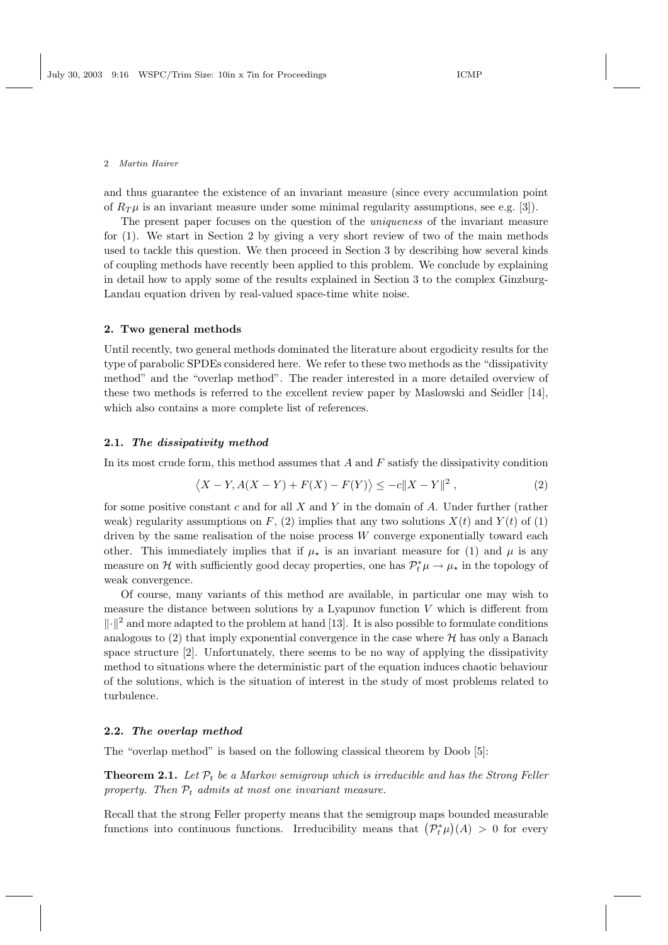and thus guarantee the existence of an invariant measure (since every accumulation point of  $R_{\mathcal{TH}}$  is an invariant measure under some minimal regularity assumptions, see e.g. [3]).

The present paper focuses on the question of the uniqueness of the invariant measure for (1). We start in Section 2 by giving a very short review of two of the main methods used to tackle this question. We then proceed in Section 3 by describing how several kinds of coupling methods have recently been applied to this problem. We conclude by explaining in detail how to apply some of the results explained in Section 3 to the complex Ginzburg-Landau equation driven by real-valued space-time white noise.

#### 2. Two general methods

Until recently, two general methods dominated the literature about ergodicity results for the type of parabolic SPDEs considered here. We refer to these two methods as the "dissipativity method" and the "overlap method". The reader interested in a more detailed overview of these two methods is referred to the excellent review paper by Maslowski and Seidler [14], which also contains a more complete list of references.

### 2.1. The dissipativity method

In its most crude form, this method assumes that  $A$  and  $F$  satisfy the dissipativity condition

$$
\langle X - Y, A(X - Y) + F(X) - F(Y) \rangle \le -c \|X - Y\|^2,
$$
\n<sup>(2)</sup>

for some positive constant c and for all  $X$  and  $Y$  in the domain of  $A$ . Under further (rather weak) regularity assumptions on F, (2) implies that any two solutions  $X(t)$  and  $Y(t)$  of (1) driven by the same realisation of the noise process  $W$  converge exponentially toward each other. This immediately implies that if  $\mu_{\star}$  is an invariant measure for (1) and  $\mu$  is any measure on  $\mathcal H$  with sufficiently good decay properties, one has  $\mathcal P_t^*\mu\to\mu_\star$  in the topology of weak convergence.

Of course, many variants of this method are available, in particular one may wish to measure the distance between solutions by a Lyapunov function  $V$  which is different from  $\Vert \cdot \Vert^2$  and more adapted to the problem at hand [13]. It is also possible to formulate conditions analogous to  $(2)$  that imply exponential convergence in the case where  $H$  has only a Banach space structure [2]. Unfortunately, there seems to be no way of applying the dissipativity method to situations where the deterministic part of the equation induces chaotic behaviour of the solutions, which is the situation of interest in the study of most problems related to turbulence.

# 2.2. The overlap method

The "overlap method" is based on the following classical theorem by Doob [5]:

**Theorem 2.1.** Let  $\mathcal{P}_t$  be a Markov semigroup which is irreducible and has the Strong Feller property. Then  $P_t$  admits at most one invariant measure.

Recall that the strong Feller property means that the semigroup maps bounded measurable functions into continuous functions. Irreducibility means that  $(\mathcal{P}_t^*\mu)(A) > 0$  for every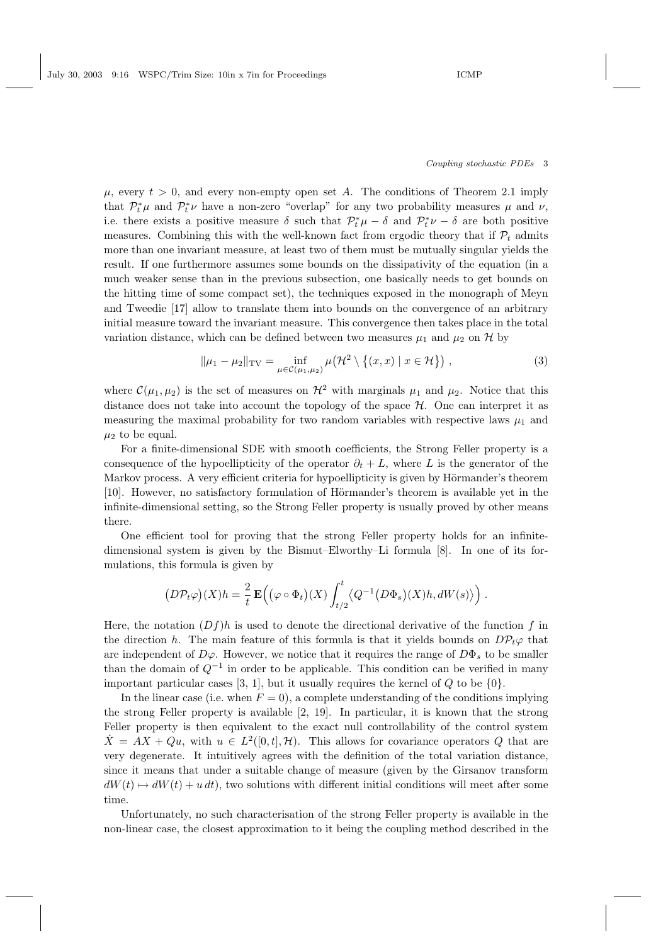### Coupling stochastic PDEs 3

 $\mu$ , every  $t > 0$ , and every non-empty open set A. The conditions of Theorem 2.1 imply that  $\mathcal{P}_t^*\mu$  and  $\mathcal{P}_t^*\nu$  have a non-zero "overlap" for any two probability measures  $\mu$  and  $\nu$ , i.e. there exists a positive measure  $\delta$  such that  $\mathcal{P}_t^*\mu - \delta$  and  $\mathcal{P}_t^*\nu - \delta$  are both positive measures. Combining this with the well-known fact from ergodic theory that if  $\mathcal{P}_t$  admits more than one invariant measure, at least two of them must be mutually singular yields the result. If one furthermore assumes some bounds on the dissipativity of the equation (in a much weaker sense than in the previous subsection, one basically needs to get bounds on the hitting time of some compact set), the techniques exposed in the monograph of Meyn and Tweedie [17] allow to translate them into bounds on the convergence of an arbitrary initial measure toward the invariant measure. This convergence then takes place in the total variation distance, which can be defined between two measures  $\mu_1$  and  $\mu_2$  on H by

$$
\|\mu_1 - \mu_2\|_{\text{TV}} = \inf_{\mu \in \mathcal{C}(\mu_1, \mu_2)} \mu\big(\mathcal{H}^2 \setminus \{(x, x) \mid x \in \mathcal{H}\}\big) ,\tag{3}
$$

where  $\mathcal{C}(\mu_1, \mu_2)$  is the set of measures on  $\mathcal{H}^2$  with marginals  $\mu_1$  and  $\mu_2$ . Notice that this distance does not take into account the topology of the space  $H$ . One can interpret it as measuring the maximal probability for two random variables with respective laws  $\mu_1$  and  $\mu_2$  to be equal.

For a finite-dimensional SDE with smooth coefficients, the Strong Feller property is a consequence of the hypoellipticity of the operator  $\partial_t + L$ , where L is the generator of the Markov process. A very efficient criteria for hypoellipticity is given by Hörmander's theorem [10]. However, no satisfactory formulation of Hörmander's theorem is available yet in the infinite-dimensional setting, so the Strong Feller property is usually proved by other means there.

One efficient tool for proving that the strong Feller property holds for an infinitedimensional system is given by the Bismut–Elworthy–Li formula [8]. In one of its formulations, this formula is given by

$$
\left(D\mathcal{P}_t\varphi\right)(X)h = \frac{2}{t}\,\mathbf{E}\Big(\big(\varphi\circ\Phi_t\big)(X)\int_{t/2}^t \langle Q^{-1}\big(D\Phi_s\big)(X)h,dW(s)\rangle\Big)\;.
$$

Here, the notation  $(Df)h$  is used to denote the directional derivative of the function f in the direction h. The main feature of this formula is that it yields bounds on  $D\mathcal{P}_t\varphi$  that are independent of  $D\varphi$ . However, we notice that it requires the range of  $D\Phi_s$  to be smaller than the domain of  $Q^{-1}$  in order to be applicable. This condition can be verified in many important particular cases [3, 1], but it usually requires the kernel of  $Q$  to be  $\{0\}$ .

In the linear case (i.e. when  $F = 0$ ), a complete understanding of the conditions implying the strong Feller property is available [2, 19]. In particular, it is known that the strong Feller property is then equivalent to the exact null controllability of the control system  $\dot{X} = AX + Qu$ , with  $u \in L^2([0,t], \mathcal{H})$ . This allows for covariance operators Q that are very degenerate. It intuitively agrees with the definition of the total variation distance, since it means that under a suitable change of measure (given by the Girsanov transform  $dW(t) \rightarrow dW(t) + u dt$ , two solutions with different initial conditions will meet after some time.

Unfortunately, no such characterisation of the strong Feller property is available in the non-linear case, the closest approximation to it being the coupling method described in the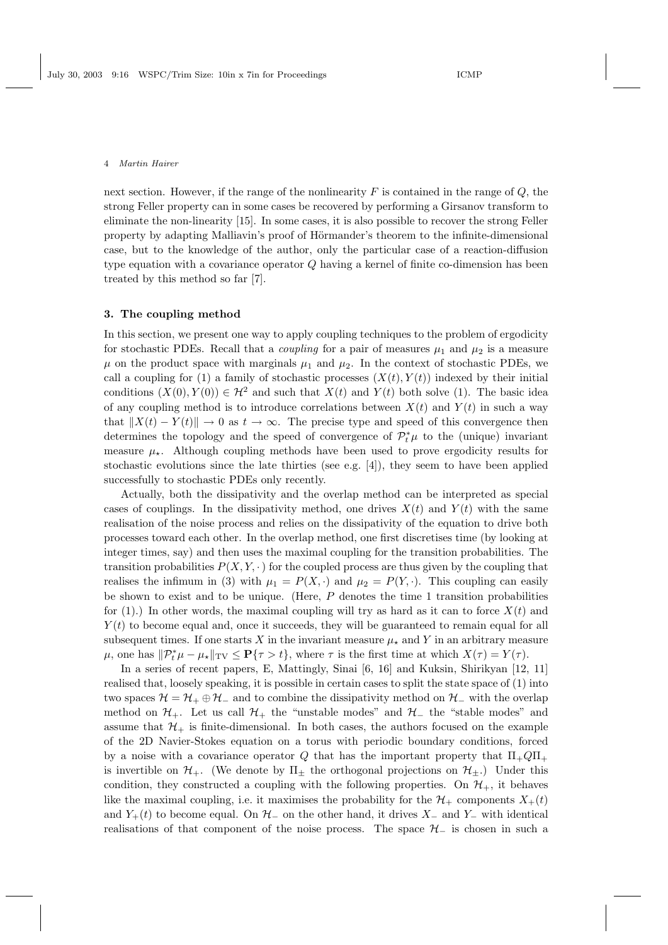next section. However, if the range of the nonlinearity  $F$  is contained in the range of  $Q$ , the strong Feller property can in some cases be recovered by performing a Girsanov transform to eliminate the non-linearity [15]. In some cases, it is also possible to recover the strong Feller property by adapting Malliavin's proof of Hörmander's theorem to the infinite-dimensional case, but to the knowledge of the author, only the particular case of a reaction-diffusion type equation with a covariance operator Q having a kernel of finite co-dimension has been treated by this method so far [7].

## 3. The coupling method

In this section, we present one way to apply coupling techniques to the problem of ergodicity for stochastic PDEs. Recall that a *coupling* for a pair of measures  $\mu_1$  and  $\mu_2$  is a measure  $\mu$  on the product space with marginals  $\mu_1$  and  $\mu_2$ . In the context of stochastic PDEs, we call a coupling for (1) a family of stochastic processes  $(X(t), Y(t))$  indexed by their initial conditions  $(X(0), Y(0)) \in \mathcal{H}^2$  and such that  $X(t)$  and  $Y(t)$  both solve (1). The basic idea of any coupling method is to introduce correlations between  $X(t)$  and  $Y(t)$  in such a way that  $||X(t) - Y(t)|| \to 0$  as  $t \to \infty$ . The precise type and speed of this convergence then determines the topology and the speed of convergence of  $\mathcal{P}_t^*\mu$  to the (unique) invariant measure  $\mu_{\star}$ . Although coupling methods have been used to prove ergodicity results for stochastic evolutions since the late thirties (see e.g. [4]), they seem to have been applied successfully to stochastic PDEs only recently.

Actually, both the dissipativity and the overlap method can be interpreted as special cases of couplings. In the dissipativity method, one drives  $X(t)$  and  $Y(t)$  with the same realisation of the noise process and relies on the dissipativity of the equation to drive both processes toward each other. In the overlap method, one first discretises time (by looking at integer times, say) and then uses the maximal coupling for the transition probabilities. The transition probabilities  $P(X, Y, \cdot)$  for the coupled process are thus given by the coupling that realises the infimum in (3) with  $\mu_1 = P(X, \cdot)$  and  $\mu_2 = P(Y, \cdot)$ . This coupling can easily be shown to exist and to be unique. (Here,  $P$  denotes the time 1 transition probabilities for (1).) In other words, the maximal coupling will try as hard as it can to force  $X(t)$  and  $Y(t)$  to become equal and, once it succeeds, they will be guaranteed to remain equal for all subsequent times. If one starts X in the invariant measure  $\mu_{\star}$  and Y in an arbitrary measure  $\mu$ , one has  $\|\mathcal{P}_t^*\mu - \mu_\star\|_{TV} \leq \mathbf{P}\{\tau > t\}$ , where  $\tau$  is the first time at which  $X(\tau) = Y(\tau)$ .

In a series of recent papers, E, Mattingly, Sinai [6, 16] and Kuksin, Shirikyan [12, 11] realised that, loosely speaking, it is possible in certain cases to split the state space of (1) into two spaces  $\mathcal{H} = \mathcal{H}_+ \oplus \mathcal{H}_-$  and to combine the dissipativity method on  $\mathcal{H}_-$  with the overlap method on  $\mathcal{H}_+$ . Let us call  $\mathcal{H}_+$  the "unstable modes" and  $\mathcal{H}_-$  the "stable modes" and assume that  $\mathcal{H}_+$  is finite-dimensional. In both cases, the authors focused on the example of the 2D Navier-Stokes equation on a torus with periodic boundary conditions, forced by a noise with a covariance operator Q that has the important property that  $\Pi_{\pm}Q\Pi_{\pm}$ is invertible on  $\mathcal{H}_+$ . (We denote by  $\Pi_{\pm}$  the orthogonal projections on  $\mathcal{H}_{\pm}$ .) Under this condition, they constructed a coupling with the following properties. On  $\mathcal{H}_+$ , it behaves like the maximal coupling, i.e. it maximises the probability for the  $\mathcal{H}_+$  components  $X_+(t)$ and  $Y_+(t)$  to become equal. On  $\mathcal{H}_-$  on the other hand, it drives  $X_-\,$  and  $Y_-\,$  with identical realisations of that component of the noise process. The space  $\mathcal{H}_-$  is chosen in such a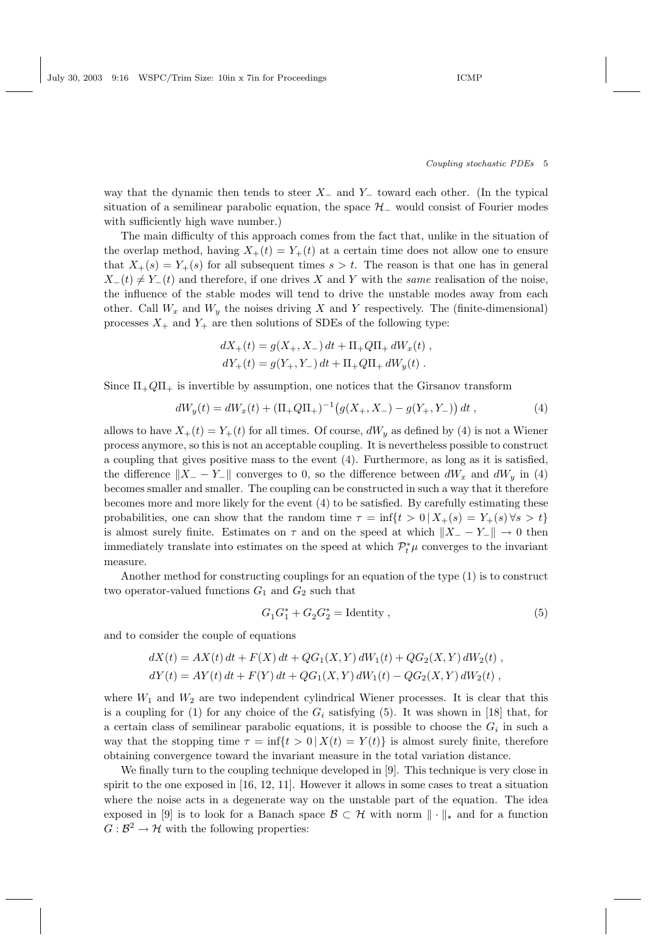Coupling stochastic PDEs 5

way that the dynamic then tends to steer  $X_-\,$  and  $Y_-\,$  toward each other. (In the typical situation of a semilinear parabolic equation, the space  $\mathcal{H}_-$  would consist of Fourier modes with sufficiently high wave number.)

The main difficulty of this approach comes from the fact that, unlike in the situation of the overlap method, having  $X_+(t) = Y_+(t)$  at a certain time does not allow one to ensure that  $X_{+}(s) = Y_{+}(s)$  for all subsequent times  $s > t$ . The reason is that one has in general  $X_-(t) \neq Y_-(t)$  and therefore, if one drives X and Y with the same realisation of the noise, the influence of the stable modes will tend to drive the unstable modes away from each other. Call  $W_x$  and  $W_y$  the noises driving X and Y respectively. The (finite-dimensional) processes  $X_+$  and  $Y_+$  are then solutions of SDEs of the following type:

$$
dX_{+}(t) = g(X_{+}, X_{-}) dt + \Pi_{+} Q \Pi_{+} dW_{x}(t) ,
$$
  

$$
dY_{+}(t) = g(Y_{+}, Y_{-}) dt + \Pi_{+} Q \Pi_{+} dW_{y}(t) .
$$

Since  $\Pi_+Q\Pi_+$  is invertible by assumption, one notices that the Girsanov transform

$$
dW_y(t) = dW_x(t) + (\Pi_+Q\Pi_+)^{-1} (g(X_+, X_-) - g(Y_+, Y_-)) dt , \qquad (4)
$$

allows to have  $X_+(t) = Y_+(t)$  for all times. Of course,  $dW_y$  as defined by (4) is not a Wiener process anymore, so this is not an acceptable coupling. It is nevertheless possible to construct a coupling that gives positive mass to the event (4). Furthermore, as long as it is satisfied, the difference  $||X_ - - Y_-\||$  converges to 0, so the difference between  $dW_x$  and  $dW_y$  in (4) becomes smaller and smaller. The coupling can be constructed in such a way that it therefore becomes more and more likely for the event (4) to be satisfied. By carefully estimating these probabilities, one can show that the random time  $\tau = \inf\{t > 0 \mid X_+(s) = Y_+(s) \,\forall s > t\}$ is almost surely finite. Estimates on  $\tau$  and on the speed at which  $||X_ - - Y_ -|| \to 0$  then immediately translate into estimates on the speed at which  $\mathcal{P}_t^*\mu$  converges to the invariant measure.

Another method for constructing couplings for an equation of the type (1) is to construct two operator-valued functions  $G_1$  and  $G_2$  such that

$$
G_1 G_1^* + G_2 G_2^* = \text{Identity} ,\qquad (5)
$$

and to consider the couple of equations

$$
dX(t) = AX(t) dt + F(X) dt + QG_1(X, Y) dW_1(t) + QG_2(X, Y) dW_2(t) ,
$$
  
\n
$$
dY(t) = AY(t) dt + F(Y) dt + QG_1(X, Y) dW_1(t) - QG_2(X, Y) dW_2(t) ,
$$

where  $W_1$  and  $W_2$  are two independent cylindrical Wiener processes. It is clear that this is a coupling for (1) for any choice of the  $G_i$  satisfying (5). It was shown in [18] that, for a certain class of semilinear parabolic equations, it is possible to choose the  $G_i$  in such a way that the stopping time  $\tau = \inf\{t > 0 | X(t) = Y(t)\}\$ is almost surely finite, therefore obtaining convergence toward the invariant measure in the total variation distance.

We finally turn to the coupling technique developed in [9]. This technique is very close in spirit to the one exposed in [16, 12, 11]. However it allows in some cases to treat a situation where the noise acts in a degenerate way on the unstable part of the equation. The idea exposed in [9] is to look for a Banach space  $\mathcal{B} \subset \mathcal{H}$  with norm  $\|\cdot\|_{*}$  and for a function  $G: \mathcal{B}^2 \to \mathcal{H}$  with the following properties: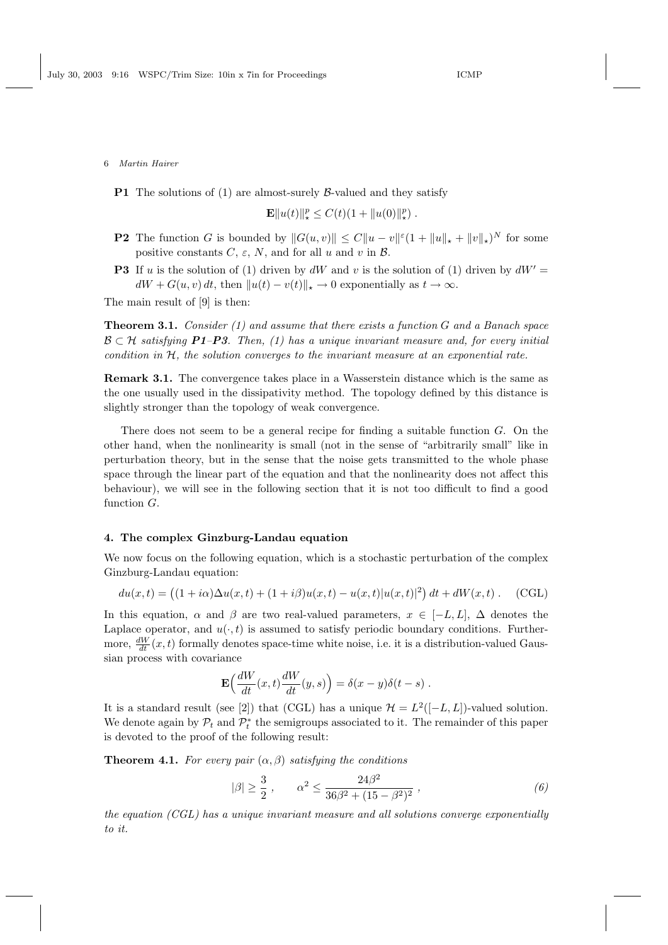**P1** The solutions of (1) are almost-surely  $\beta$ -valued and they satisfy

$$
\mathbf{E} ||u(t)||_{\star}^{p} \leq C(t)(1 + ||u(0)||_{\star}^{p}).
$$

- **P2** The function G is bounded by  $||G(u, v)|| \leq C||u v||^{\varepsilon}(1 + ||u||_{\star} + ||v||_{\star})^N$  for some positive constants  $C, \varepsilon, N$ , and for all u and v in  $\mathcal{B}$ .
- **P3** If u is the solution of (1) driven by dW and v is the solution of (1) driven by  $dW' =$  $dW + G(u, v) dt$ , then  $||u(t) - v(t)||_* \to 0$  exponentially as  $t \to \infty$ .

The main result of [9] is then:

**Theorem 3.1.** Consider (1) and assume that there exists a function  $G$  and a Banach space  $\mathcal{B} \subset \mathcal{H}$  satisfying P1–P3. Then, (1) has a unique invariant measure and, for every initial condition in  $H$ , the solution converges to the invariant measure at an exponential rate.

Remark 3.1. The convergence takes place in a Wasserstein distance which is the same as the one usually used in the dissipativity method. The topology defined by this distance is slightly stronger than the topology of weak convergence.

There does not seem to be a general recipe for finding a suitable function  $G$ . On the other hand, when the nonlinearity is small (not in the sense of "arbitrarily small" like in perturbation theory, but in the sense that the noise gets transmitted to the whole phase space through the linear part of the equation and that the nonlinearity does not affect this behaviour), we will see in the following section that it is not too difficult to find a good function G.

## 4. The complex Ginzburg-Landau equation

We now focus on the following equation, which is a stochastic perturbation of the complex Ginzburg-Landau equation:

$$
du(x,t) = ((1+i\alpha)\Delta u(x,t) + (1+i\beta)u(x,t) - u(x,t)|u(x,t)|^2) dt + dW(x,t).
$$
 (CGL)

In this equation,  $\alpha$  and  $\beta$  are two real-valued parameters,  $x \in [-L, L]$ ,  $\Delta$  denotes the Laplace operator, and  $u(\cdot, t)$  is assumed to satisfy periodic boundary conditions. Furthermore,  $\frac{dW}{dt}(x,t)$  formally denotes space-time white noise, i.e. it is a distribution-valued Gaussian process with covariance

$$
\mathbf{E}\Big(\frac{dW}{dt}(x,t)\frac{dW}{dt}(y,s)\Big) = \delta(x-y)\delta(t-s) .
$$

It is a standard result (see [2]) that (CGL) has a unique  $\mathcal{H} = L^2([-L, L])$ -valued solution. We denote again by  $\mathcal{P}_t$  and  $\mathcal{P}_t^*$  the semigroups associated to it. The remainder of this paper is devoted to the proof of the following result:

**Theorem 4.1.** For every pair  $(\alpha, \beta)$  satisfying the conditions

$$
|\beta| \ge \frac{3}{2} , \qquad \alpha^2 \le \frac{24\beta^2}{36\beta^2 + (15 - \beta^2)^2} , \tag{6}
$$

the equation (CGL) has a unique invariant measure and all solutions converge exponentially to it.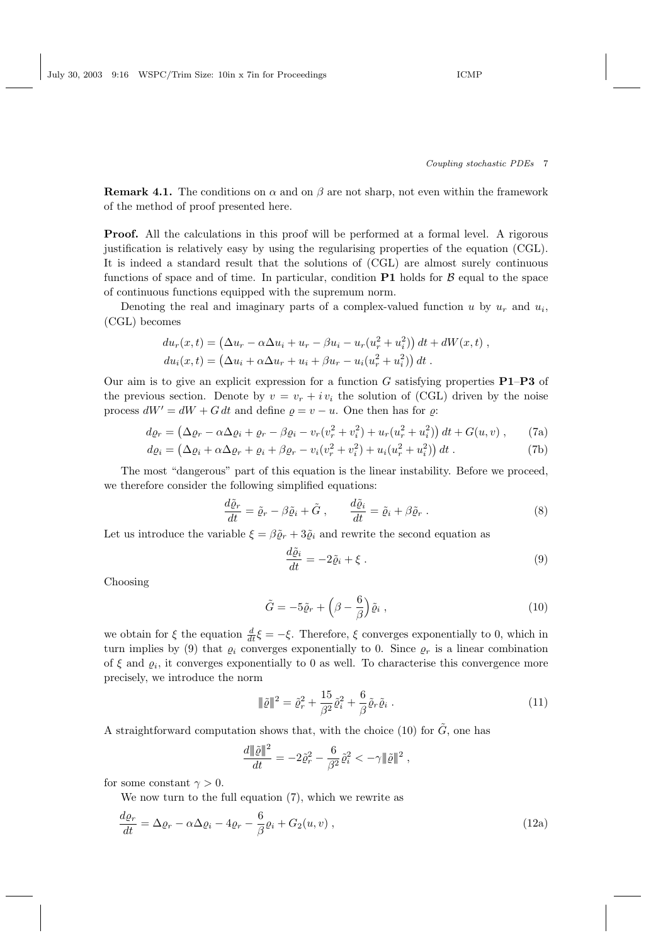July 30, 2003 9:16 WSPC/Trim Size: 10in x 7in for Proceedings ICMP

## Coupling stochastic PDEs 7

**Remark 4.1.** The conditions on  $\alpha$  and on  $\beta$  are not sharp, not even within the framework of the method of proof presented here.

Proof. All the calculations in this proof will be performed at a formal level. A rigorous justification is relatively easy by using the regularising properties of the equation (CGL). It is indeed a standard result that the solutions of (CGL) are almost surely continuous functions of space and of time. In particular, condition  $P1$  holds for  $B$  equal to the space of continuous functions equipped with the supremum norm.

Denoting the real and imaginary parts of a complex-valued function  $u$  by  $u_r$  and  $u_i$ , (CGL) becomes

$$
du_r(x,t) = (\Delta u_r - \alpha \Delta u_i + u_r - \beta u_i - u_r (u_r^2 + u_i^2)) dt + dW(x,t) ,
$$
  
\n
$$
du_i(x,t) = (\Delta u_i + \alpha \Delta u_r + u_i + \beta u_r - u_i (u_r^2 + u_i^2)) dt .
$$

Our aim is to give an explicit expression for a function  $G$  satisfying properties  $P1-P3$  of the previous section. Denote by  $v = v_r + iv_i$  the solution of (CGL) driven by the noise process  $dW' = dW + G dt$  and define  $\rho = v - u$ . One then has for  $\rho$ :

$$
d\varrho_r = (\Delta \varrho_r - \alpha \Delta \varrho_i + \varrho_r - \beta \varrho_i - v_r (v_r^2 + v_i^2) + u_r (u_r^2 + u_i^2)) dt + G(u, v) , \qquad (7a)
$$
  
\n
$$
d\varrho_i = (\Delta \varrho_i + \alpha \Delta \varrho_r + \varrho_i + \beta \varrho_r - v_i (v_r^2 + v_i^2) + u_i (u_r^2 + u_i^2)) dt . \qquad (7b)
$$

The most "dangerous" part of this equation is the linear instability. Before we proceed, we therefore consider the following simplified equations:

$$
\frac{d\tilde{\varrho}_r}{dt} = \tilde{\varrho}_r - \beta \tilde{\varrho}_i + \tilde{G} , \qquad \frac{d\tilde{\varrho}_i}{dt} = \tilde{\varrho}_i + \beta \tilde{\varrho}_r . \tag{8}
$$

Let us introduce the variable  $\xi = \beta \tilde{\varrho}_r + 3\tilde{\varrho}_i$  and rewrite the second equation as

$$
\frac{d\tilde{\varrho}_i}{dt} = -2\tilde{\varrho}_i + \xi \; . \tag{9}
$$

Choosing

$$
\tilde{G} = -5\tilde{\varrho}_r + \left(\beta - \frac{6}{\beta}\right)\tilde{\varrho}_i ,\qquad (10)
$$

we obtain for  $\xi$  the equation  $\frac{d}{dt}\xi = -\xi$ . Therefore,  $\xi$  converges exponentially to 0, which in turn implies by (9) that  $\rho_i$  converges exponentially to 0. Since  $\rho_r$  is a linear combination of  $\xi$  and  $\varrho_i$ , it converges exponentially to 0 as well. To characterise this convergence more precisely, we introduce the norm

$$
\|\tilde{\varrho}\|^2 = \tilde{\varrho}_r^2 + \frac{15}{\beta^2} \tilde{\varrho}_i^2 + \frac{6}{\beta} \tilde{\varrho}_r \tilde{\varrho}_i .
$$
\n(11)

A straightforward computation shows that, with the choice (10) for  $\tilde{G}$ , one has

$$
\frac{d\|\tilde{\varrho}\|^2}{dt} = -2\tilde{\varrho}_r^2 - \frac{6}{\beta^2}\tilde{\varrho}_i^2 < -\gamma \|\tilde{\varrho}\|^2,
$$

for some constant  $\gamma > 0$ .

We now turn to the full equation (7), which we rewrite as

$$
\frac{d\varrho_r}{dt} = \Delta\varrho_r - \alpha\Delta\varrho_i - 4\varrho_r - \frac{6}{\beta}\varrho_i + G_2(u, v) ,
$$
\n(12a)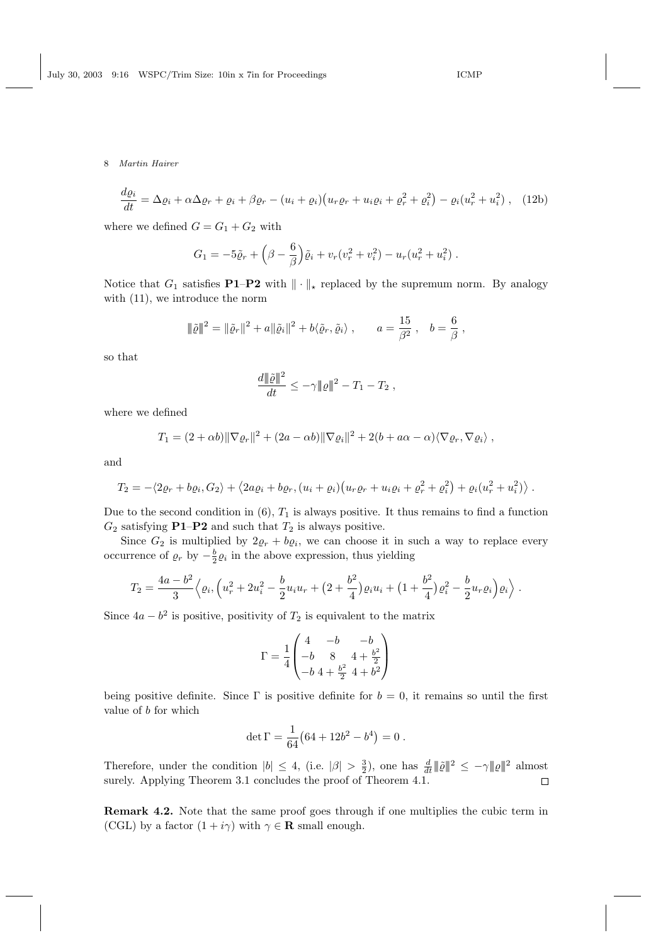$$
\frac{d\varrho_i}{dt} = \Delta\varrho_i + \alpha\Delta\varrho_r + \varrho_i + \beta\varrho_r - (u_i + \varrho_i)\big(u_r\varrho_r + u_i\varrho_i + \varrho_r^2 + \varrho_i^2\big) - \varrho_i(u_r^2 + u_i^2) , \quad (12b)
$$

where we defined  $G = G_1 + G_2$  with

$$
G_1 = -5\tilde{\varrho}_r + \left(\beta - \frac{6}{\beta}\right)\tilde{\varrho}_i + v_r(v_r^2 + v_i^2) - u_r(u_r^2 + u_i^2) .
$$

Notice that  $G_1$  satisfies **P1–P2** with  $\|\cdot\|_*$  replaced by the supremum norm. By analogy with  $(11)$ , we introduce the norm

$$
\|\tilde{\varrho}\|^2 = \|\tilde{\varrho}_r\|^2 + a\|\tilde{\varrho}_i\|^2 + b\langle \tilde{\varrho}_r, \tilde{\varrho}_i \rangle , \qquad a = \frac{15}{\beta^2} , \quad b = \frac{6}{\beta} ,
$$

so that

$$
\frac{d \|\tilde{\varrho}\|^2}{dt} \leq -\gamma \|\varrho\|^2 - T_1 - T_2 ,
$$

where we defined

$$
T_1 = (2 + \alpha b) \|\nabla \varrho_r\|^2 + (2a - \alpha b) \|\nabla \varrho_i\|^2 + 2(b + a\alpha - \alpha) \langle \nabla \varrho_r, \nabla \varrho_i \rangle,
$$

and

$$
T_2 = -\langle 2\varrho_r + b\varrho_i, G_2 \rangle + \langle 2a\varrho_i + b\varrho_r, (u_i + \varrho_i)(u_r\varrho_r + u_i\varrho_i + \varrho_r^2 + \varrho_i^2) + \varrho_i(u_r^2 + u_i^2) \rangle.
$$

Due to the second condition in  $(6)$ ,  $T_1$  is always positive. It thus remains to find a function  $G_2$  satisfying **P1–P2** and such that  $T_2$  is always positive.

Since  $G_2$  is multiplied by  $2\varrho_r + b\varrho_i$ , we can choose it in such a way to replace every occurrence of  $\varrho_r$  by  $-\frac{b}{2}\varrho_i$  in the above expression, thus yielding

$$
T_2 = \frac{4a - b^2}{3} \left\langle \varrho_i, \left( u_r^2 + 2u_i^2 - \frac{b}{2}u_iu_r + \left(2 + \frac{b^2}{4}\right)\varrho_i u_i + \left(1 + \frac{b^2}{4}\right)\varrho_i^2 - \frac{b}{2}u_r\varrho_i \right)\varrho_i \right\rangle.
$$

Since  $4a - b^2$  is positive, positivity of  $T_2$  is equivalent to the matrix

$$
\Gamma = \frac{1}{4} \begin{pmatrix} 4 & -b & -b \\ -b & 8 & 4 + \frac{b^2}{2} \\ -b & 4 + \frac{b^2}{2} & 4 + b^2 \end{pmatrix}
$$

being positive definite. Since  $\Gamma$  is positive definite for  $b = 0$ , it remains so until the first value of b for which

$$
\det \Gamma = \frac{1}{64} \big( 64 + 12b^2 - b^4 \big) = 0 \; .
$$

Therefore, under the condition  $|b| \leq 4$ , (i.e.  $|\beta| > \frac{3}{2}$ ), one has  $\frac{d}{dt} ||\tilde{\varrho}||^2 \leq -\gamma ||\varrho||^2$  almost surely. Applying Theorem 3.1 concludes the proof of Theorem 4.1.

Remark 4.2. Note that the same proof goes through if one multiplies the cubic term in (CGL) by a factor  $(1 + i\gamma)$  with  $\gamma \in \mathbf{R}$  small enough.